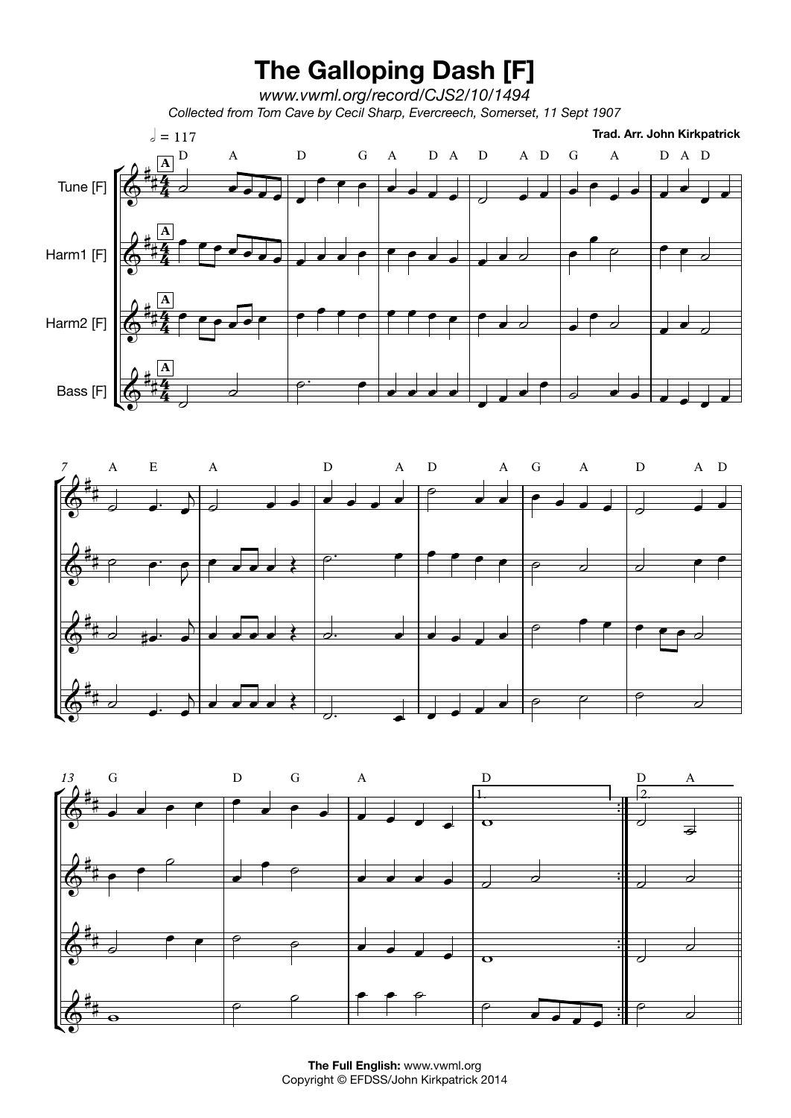





**The FullEnglish:** www.vwml.org Copyright © EFDSS/John Kirkpatrick 2014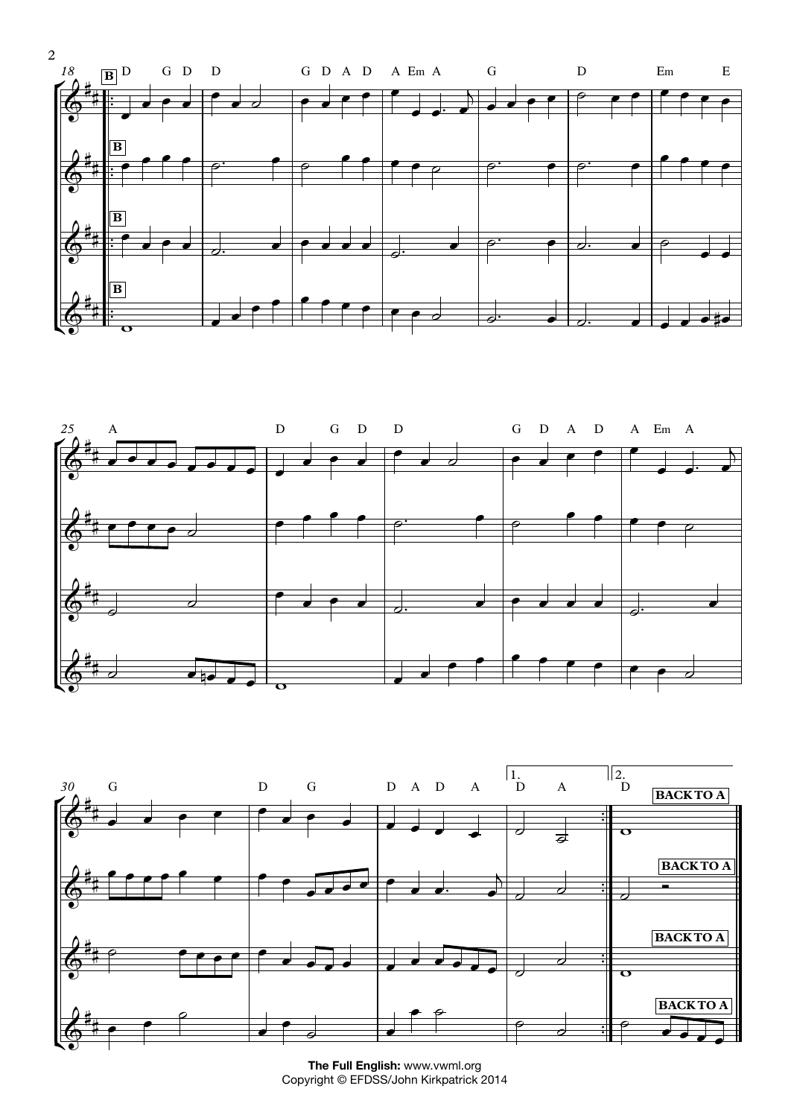





**The FullEnglish:** www.vwml.org Copyright © EFDSS/John Kirkpatrick 2014